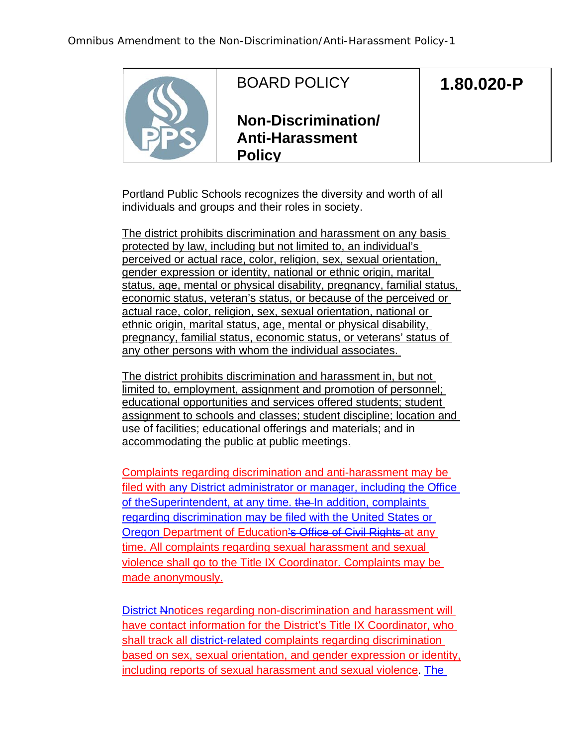

## BOARD POLICY

## **1.80.020-P**

**Non-Discrimination/ Anti-Harassment Policy**

Portland Public Schools recognizes the diversity and worth of all individuals and groups and their roles in society.

The district prohibits discrimination and harassment on any basis protected by law, including but not limited to, an individual's perceived or actual race, color, religion, sex, sexual orientation, gender expression or identity, national or ethnic origin, marital status, age, mental or physical disability, pregnancy, familial status, economic status, veteran's status, or because of the perceived or actual race, color, religion, sex, sexual orientation, national or ethnic origin, marital status, age, mental or physical disability, pregnancy, familial status, economic status, or veterans' status of any other persons with whom the individual associates.

The district prohibits discrimination and harassment in, but not limited to, employment, assignment and promotion of personnel; educational opportunities and services offered students; student assignment to schools and classes; student discipline; location and use of facilities; educational offerings and materials; and in accommodating the public at public meetings.

Complaints regarding discrimination and anti-harassment may be filed with any District administrator or manager, including the Office of the Superintendent, at any time, the In addition, complaints regarding discrimination may be filed with the United States or Oregon Department of Education's Office of Civil Rights at any time. All complaints regarding sexual harassment and sexual violence shall go to the Title IX Coordinator. Complaints may be made anonymously.

District Nnotices regarding non-discrimination and harassment will have contact information for the District's Title IX Coordinator, who shall track all district-related complaints regarding discrimination based on sex, sexual orientation, and gender expression or identity, including reports of sexual harassment and sexual violence. The